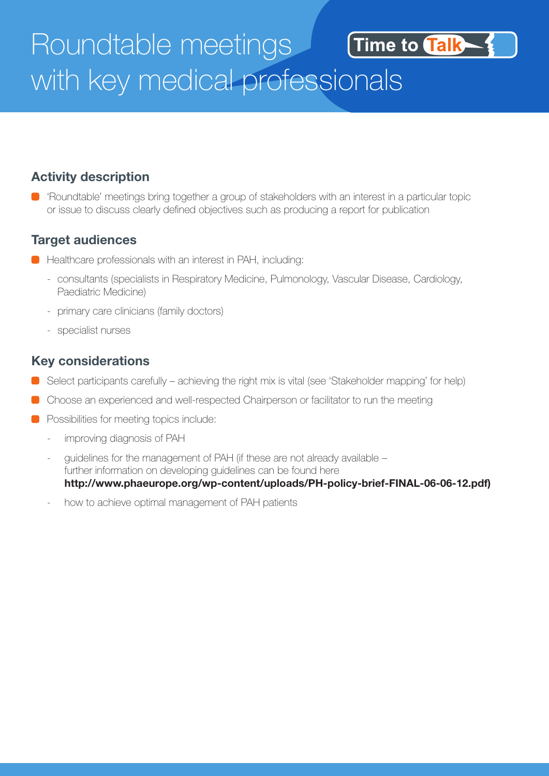## Roundtable meetings Time to Talk with key medical professionals

#### **Activity description**

'Roundtable' meetings bring together a group of stakeholders with an interest in a particular topic or issue to discuss clearly defined objectives such as producing a report for publication

#### **Target audiences**

- **Healthcare professionals with an interest in PAH, including:** 
	- consultants (specialists in Respiratory Medicine, Pulmonology, Vascular Disease, Cardiology, Paediatric Medicine)
	- primary care clinicians (family doctors)
	- specialist nurses

#### **Key considerations**

- Select participants carefully achieving the right mix is vital (see 'Stakeholder mapping' for help)
- Choose an experienced and well-respected Chairperson or facilitator to run the meeting
- **Possibilities for meeting topics include:** 
	- improving diagnosis of PAH
	- guidelines for the management of PAH (if these are not already available further information on developing guidelines can be found here

**http://www.phaeurope.org/wp-content/uploads/PH-policy-brief-FINAL-06-06-12.pdf)**

how to achieve optimal management of PAH patients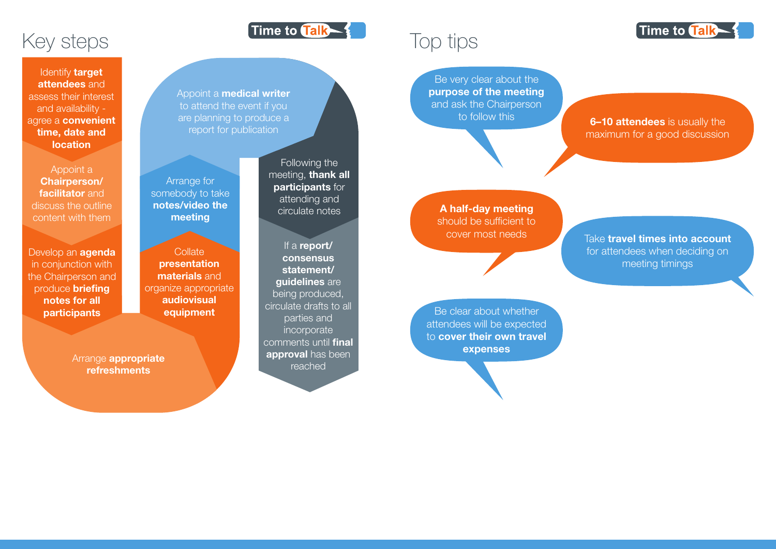# Top tips

Be clear about whether attendees will be expected to **cover their own travel expenses**



Be very clear about the **purpose of the meeting** and ask the Chairperson

### to follow this **6–10 attendees** is usually the maximum for a good discussion

**A half-day meeting** should be sufficient to

If a report/ consensus statement/ **quidelines** are being produced, circulate drafts to all parties and incorporate comments until final approval has been reached

Arrange **appropriate** refreshments

cover most needs Take **travel times into account**  for attendees when deciding on meeting timings

**Collate** presentation materials and organize appropriate audiovisual equipment

## Key steps

Identify **target** attendees and assess their interest and availability agree a **convenient** time, date and location

Appoint a **medical writer** to attend the event if you are planning to produce a report for publication

Arrange for somebody to take notes/video the meeting

Appoint a Chairperson/ facilitator and discuss the outline content with them

Develop an **agenda** in conjunction with the Chairperson and produce briefing notes for all **participants** 

Following the meeting, **thank all** participants for attending and circulate notes

Time to Talk \